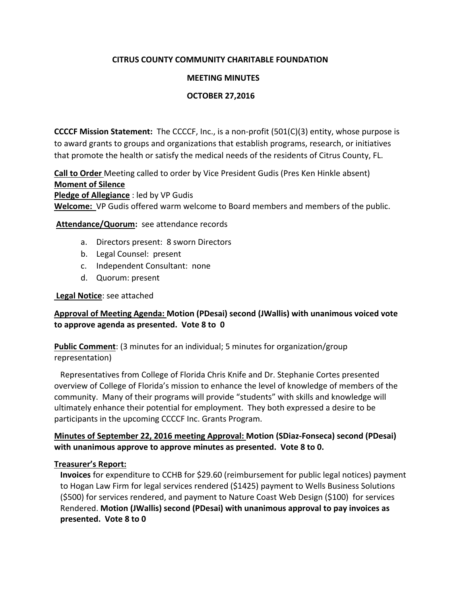# **CITRUS COUNTY COMMUNITY CHARITABLE FOUNDATION**

### **MEETING MINUTES**

### **OCTOBER 27,2016**

**CCCCF Mission Statement:** The CCCCF, Inc., is a non-profit (501(C)(3) entity, whose purpose is to award grants to groups and organizations that establish programs, research, or initiatives that promote the health or satisfy the medical needs of the residents of Citrus County, FL.

**Call to Order** Meeting called to order by Vice President Gudis (Pres Ken Hinkle absent) **Moment of Silence Pledge of Allegiance** : led by VP Gudis **Welcome:** VP Gudis offered warm welcome to Board members and members of the public.

**Attendance/Quorum:** see attendance records

- a. Directors present: 8 sworn Directors
- b. Legal Counsel: present
- c. Independent Consultant: none
- d. Quorum: present

#### **Legal Notice**: see attached

### **Approval of Meeting Agenda: Motion (PDesai) second (JWallis) with unanimous voiced vote to approve agenda as presented. Vote 8 to 0**

**Public Comment**: (3 minutes for an individual; 5 minutes for organization/group representation)

 Representatives from College of Florida Chris Knife and Dr. Stephanie Cortes presented overview of College of Florida's mission to enhance the level of knowledge of members of the community. Many of their programs will provide "students" with skills and knowledge will ultimately enhance their potential for employment. They both expressed a desire to be participants in the upcoming CCCCF Inc. Grants Program.

# **Minutes of September 22, 2016 meeting Approval: Motion (SDiaz-Fonseca) second (PDesai) with unanimous approve to approve minutes as presented. Vote 8 to 0.**

### **Treasurer's Report:**

 **Invoices** for expenditure to CCHB for \$29.60 (reimbursement for public legal notices) payment to Hogan Law Firm for legal services rendered (\$1425) payment to Wells Business Solutions (\$500) for services rendered, and payment to Nature Coast Web Design (\$100) for services Rendered. **Motion (JWallis) second (PDesai) with unanimous approval to pay invoices as presented. Vote 8 to 0**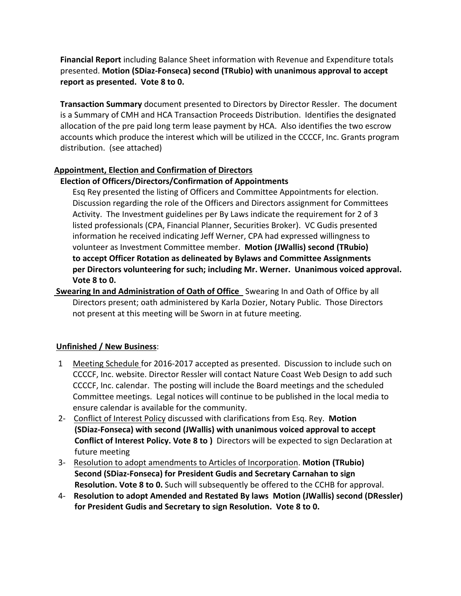**Financial Report** including Balance Sheet information with Revenue and Expenditure totals presented. **Motion (SDiaz-Fonseca) second (TRubio) with unanimous approval to accept report as presented. Vote 8 to 0.**

 **Transaction Summary** document presented to Directors by Director Ressler. The document is a Summary of CMH and HCA Transaction Proceeds Distribution. Identifies the designated allocation of the pre paid long term lease payment by HCA. Also identifies the two escrow accounts which produce the interest which will be utilized in the CCCCF, Inc. Grants program distribution. (see attached)

# **Appointment, Election and Confirmation of Directors**

# **Election of Officers/Directors/Confirmation of Appointments**

 Esq Rey presented the listing of Officers and Committee Appointments for election. Discussion regarding the role of the Officers and Directors assignment for Committees Activity. The Investment guidelines per By Laws indicate the requirement for 2 of 3 listed professionals (CPA, Financial Planner, Securities Broker). VC Gudis presented information he received indicating Jeff Werner, CPA had expressed willingness to volunteer as Investment Committee member. **Motion (JWallis) second (TRubio) to accept Officer Rotation as delineated by Bylaws and Committee Assignments per Directors volunteering for such; including Mr. Werner. Unanimous voiced approval. Vote 8 to 0.**

**Swearing In and Administration of Oath of Office** Swearing In and Oath of Office by all Directors present; oath administered by Karla Dozier, Notary Public. Those Directors not present at this meeting will be Sworn in at future meeting.

# **Unfinished / New Business**:

- 1 Meeting Schedule for 2016-2017 accepted as presented. Discussion to include such on CCCCF, Inc. website. Director Ressler will contact Nature Coast Web Design to add such CCCCF, Inc. calendar. The posting will include the Board meetings and the scheduled Committee meetings. Legal notices will continue to be published in the local media to ensure calendar is available for the community.
- 2- Conflict of Interest Policy discussed with clarifications from Esq. Rey. **Motion (SDiaz-Fonseca) with second (JWallis) with unanimous voiced approval to accept Conflict of Interest Policy. Vote 8 to )** Directors will be expected to sign Declaration at future meeting
- 3- Resolution to adopt amendments to Articles of Incorporation. **Motion (TRubio) Second (SDiaz-Fonseca) for President Gudis and Secretary Carnahan to sign Resolution. Vote 8 to 0.** Such will subsequently be offered to the CCHB for approval.
- 4- **Resolution to adopt Amended and Restated By laws Motion (JWallis) second (DRessler) for President Gudis and Secretary to sign Resolution. Vote 8 to 0.**